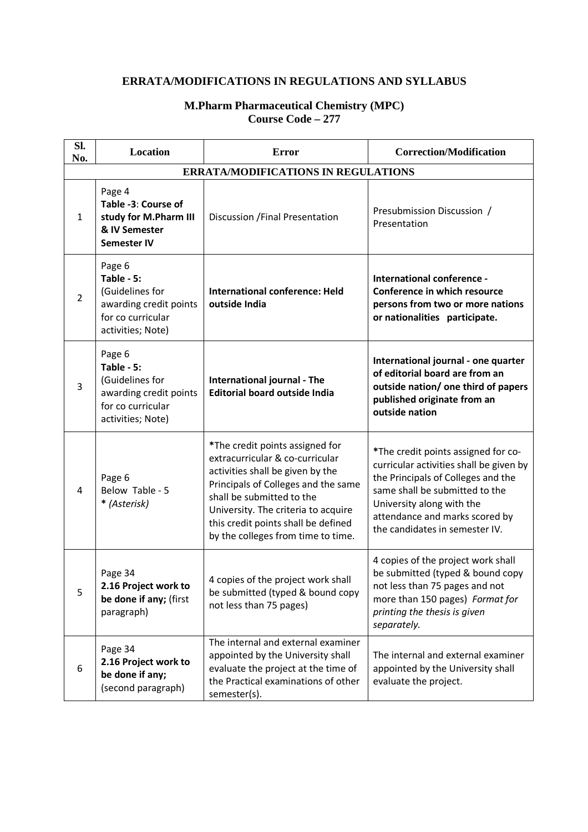## **ERRATA/MODIFICATIONS IN REGULATIONS AND SYLLABUS**

## **M.Pharm Pharmaceutical Chemistry (MPC) Course Code – 277**

| Sl.<br>No.                                 | Location                                                                                                    | <b>Error</b>                                                                                                                                                                                                                                                                                   | <b>Correction/Modification</b>                                                                                                                                                                                                                          |  |  |  |
|--------------------------------------------|-------------------------------------------------------------------------------------------------------------|------------------------------------------------------------------------------------------------------------------------------------------------------------------------------------------------------------------------------------------------------------------------------------------------|---------------------------------------------------------------------------------------------------------------------------------------------------------------------------------------------------------------------------------------------------------|--|--|--|
| <b>ERRATA/MODIFICATIONS IN REGULATIONS</b> |                                                                                                             |                                                                                                                                                                                                                                                                                                |                                                                                                                                                                                                                                                         |  |  |  |
| $\mathbf{1}$                               | Page 4<br>Table -3: Course of<br>study for M.Pharm III<br>& IV Semester<br><b>Semester IV</b>               | Discussion / Final Presentation                                                                                                                                                                                                                                                                | Presubmission Discussion /<br>Presentation                                                                                                                                                                                                              |  |  |  |
| $\overline{2}$                             | Page 6<br>Table - 5:<br>(Guidelines for<br>awarding credit points<br>for co curricular<br>activities; Note) | <b>International conference: Held</b><br>outside India                                                                                                                                                                                                                                         | International conference -<br>Conference in which resource<br>persons from two or more nations<br>or nationalities participate.                                                                                                                         |  |  |  |
| 3                                          | Page 6<br>Table - 5:<br>(Guidelines for<br>awarding credit points<br>for co curricular<br>activities; Note) | International journal - The<br><b>Editorial board outside India</b>                                                                                                                                                                                                                            | International journal - one quarter<br>of editorial board are from an<br>outside nation/ one third of papers<br>published originate from an<br>outside nation                                                                                           |  |  |  |
| 4                                          | Page 6<br>Below Table - 5<br>* (Asterisk)                                                                   | *The credit points assigned for<br>extracurricular & co-curricular<br>activities shall be given by the<br>Principals of Colleges and the same<br>shall be submitted to the<br>University. The criteria to acquire<br>this credit points shall be defined<br>by the colleges from time to time. | *The credit points assigned for co-<br>curricular activities shall be given by<br>the Principals of Colleges and the<br>same shall be submitted to the<br>University along with the<br>attendance and marks scored by<br>the candidates in semester IV. |  |  |  |
| 5                                          | Page 34<br>2.16 Project work to<br>be done if any; (first<br>paragraph)                                     | 4 copies of the project work shall<br>be submitted (typed & bound copy<br>not less than 75 pages)                                                                                                                                                                                              | 4 copies of the project work shall<br>be submitted (typed & bound copy<br>not less than 75 pages and not<br>more than 150 pages) Format for<br>printing the thesis is given<br>separately.                                                              |  |  |  |
| 6                                          | Page 34<br>2.16 Project work to<br>be done if any;<br>(second paragraph)                                    | The internal and external examiner<br>appointed by the University shall<br>evaluate the project at the time of<br>the Practical examinations of other<br>semester(s).                                                                                                                          | The internal and external examiner<br>appointed by the University shall<br>evaluate the project.                                                                                                                                                        |  |  |  |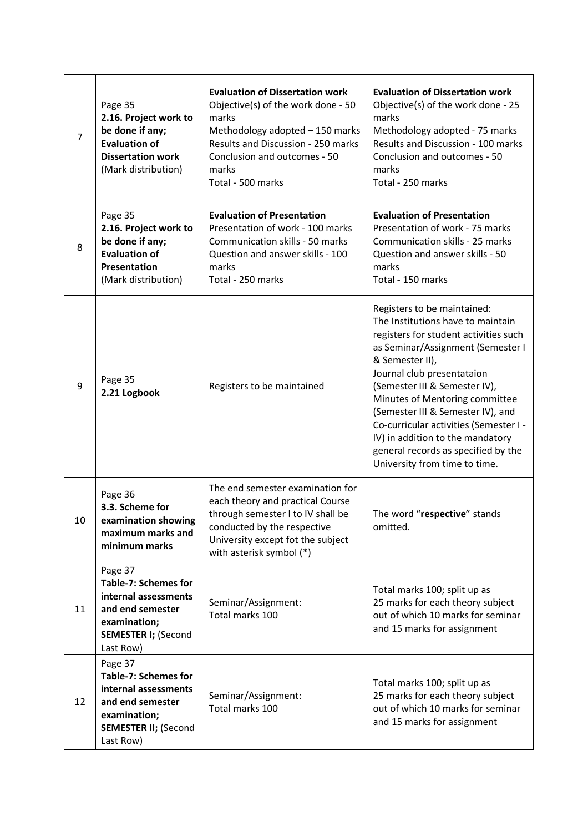| 7  | Page 35<br>2.16. Project work to<br>be done if any;<br><b>Evaluation of</b><br><b>Dissertation work</b><br>(Mark distribution)                 | <b>Evaluation of Dissertation work</b><br>Objective(s) of the work done - 50<br>marks<br>Methodology adopted - 150 marks<br>Results and Discussion - 250 marks<br>Conclusion and outcomes - 50<br>marks<br>Total - 500 marks | <b>Evaluation of Dissertation work</b><br>Objective(s) of the work done - 25<br>marks<br>Methodology adopted - 75 marks<br>Results and Discussion - 100 marks<br>Conclusion and outcomes - 50<br>marks<br>Total - 250 marks                                                                                                                                                                                                                                   |
|----|------------------------------------------------------------------------------------------------------------------------------------------------|------------------------------------------------------------------------------------------------------------------------------------------------------------------------------------------------------------------------------|---------------------------------------------------------------------------------------------------------------------------------------------------------------------------------------------------------------------------------------------------------------------------------------------------------------------------------------------------------------------------------------------------------------------------------------------------------------|
| 8  | Page 35<br>2.16. Project work to<br>be done if any;<br><b>Evaluation of</b><br>Presentation<br>(Mark distribution)                             | <b>Evaluation of Presentation</b><br>Presentation of work - 100 marks<br>Communication skills - 50 marks<br>Question and answer skills - 100<br>marks<br>Total - 250 marks                                                   | <b>Evaluation of Presentation</b><br>Presentation of work - 75 marks<br>Communication skills - 25 marks<br>Question and answer skills - 50<br>marks<br>Total - 150 marks                                                                                                                                                                                                                                                                                      |
| 9  | Page 35<br>2.21 Logbook                                                                                                                        | Registers to be maintained                                                                                                                                                                                                   | Registers to be maintained:<br>The Institutions have to maintain<br>registers for student activities such<br>as Seminar/Assignment (Semester I<br>& Semester II),<br>Journal club presentataion<br>(Semester III & Semester IV),<br>Minutes of Mentoring committee<br>(Semester III & Semester IV), and<br>Co-curricular activities (Semester I -<br>IV) in addition to the mandatory<br>general records as specified by the<br>University from time to time. |
| 10 | Page 36<br>3.3. Scheme for<br>examination showing<br>maximum marks and<br>minimum marks                                                        | The end semester examination for<br>each theory and practical Course<br>through semester I to IV shall be<br>conducted by the respective<br>University except fot the subject<br>with asterisk symbol (*)                    | The word "respective" stands<br>omitted.                                                                                                                                                                                                                                                                                                                                                                                                                      |
| 11 | Page 37<br><b>Table-7: Schemes for</b><br>internal assessments<br>and end semester<br>examination;<br><b>SEMESTER I; (Second</b><br>Last Row)  | Seminar/Assignment:<br>Total marks 100                                                                                                                                                                                       | Total marks 100; split up as<br>25 marks for each theory subject<br>out of which 10 marks for seminar<br>and 15 marks for assignment                                                                                                                                                                                                                                                                                                                          |
| 12 | Page 37<br><b>Table-7: Schemes for</b><br>internal assessments<br>and end semester<br>examination;<br><b>SEMESTER II; (Second</b><br>Last Row) | Seminar/Assignment:<br>Total marks 100                                                                                                                                                                                       | Total marks 100; split up as<br>25 marks for each theory subject<br>out of which 10 marks for seminar<br>and 15 marks for assignment                                                                                                                                                                                                                                                                                                                          |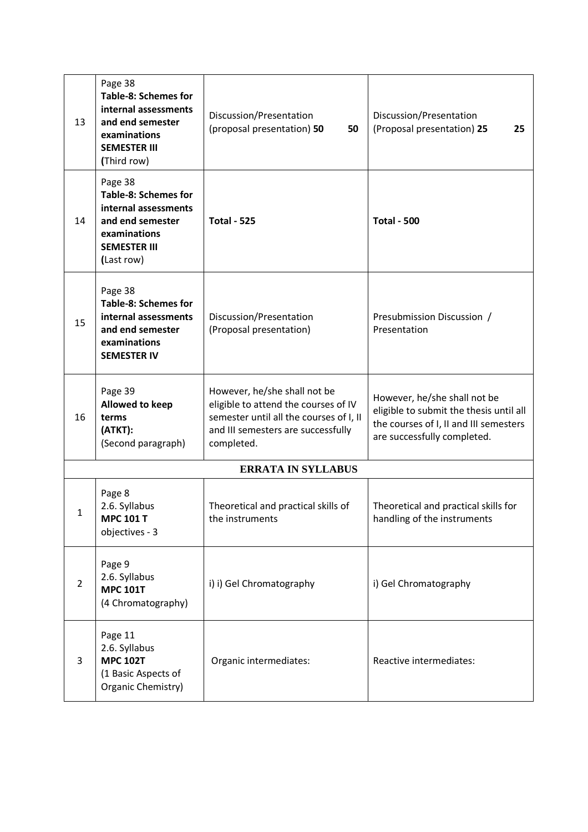| 13             | Page 38<br><b>Table-8: Schemes for</b><br>internal assessments<br>and end semester<br>examinations<br><b>SEMESTER III</b><br>(Third row) | Discussion/Presentation<br>(proposal presentation) 50<br>50                                                                                                         | Discussion/Presentation<br>(Proposal presentation) 25<br>25                                                                                      |
|----------------|------------------------------------------------------------------------------------------------------------------------------------------|---------------------------------------------------------------------------------------------------------------------------------------------------------------------|--------------------------------------------------------------------------------------------------------------------------------------------------|
| 14             | Page 38<br><b>Table-8: Schemes for</b><br>internal assessments<br>and end semester<br>examinations<br><b>SEMESTER III</b><br>(Last row)  | <b>Total - 525</b>                                                                                                                                                  | <b>Total - 500</b>                                                                                                                               |
| 15             | Page 38<br><b>Table-8: Schemes for</b><br>internal assessments<br>and end semester<br>examinations<br><b>SEMESTER IV</b>                 | Discussion/Presentation<br>(Proposal presentation)                                                                                                                  | Presubmission Discussion /<br>Presentation                                                                                                       |
| 16             | Page 39<br>Allowed to keep<br>terms<br>(ATKT):<br>(Second paragraph)                                                                     | However, he/she shall not be<br>eligible to attend the courses of IV<br>semester until all the courses of I, II<br>and III semesters are successfully<br>completed. | However, he/she shall not be<br>eligible to submit the thesis until all<br>the courses of I, II and III semesters<br>are successfully completed. |
|                |                                                                                                                                          | <b>ERRATA IN SYLLABUS</b>                                                                                                                                           |                                                                                                                                                  |
| 1              | Page 8<br>2.6. Syllabus<br><b>MPC 101 T</b><br>objectives - 3                                                                            | Theoretical and practical skills of<br>the instruments                                                                                                              | Theoretical and practical skills for<br>handling of the instruments                                                                              |
| $\overline{2}$ | Page 9<br>2.6. Syllabus<br><b>MPC 101T</b><br>(4 Chromatography)                                                                         | i) i) Gel Chromatography                                                                                                                                            | i) Gel Chromatography                                                                                                                            |
| 3              | Page 11<br>2.6. Syllabus<br><b>MPC 102T</b><br>(1 Basic Aspects of<br>Organic Chemistry)                                                 | Organic intermediates:                                                                                                                                              | Reactive intermediates:                                                                                                                          |